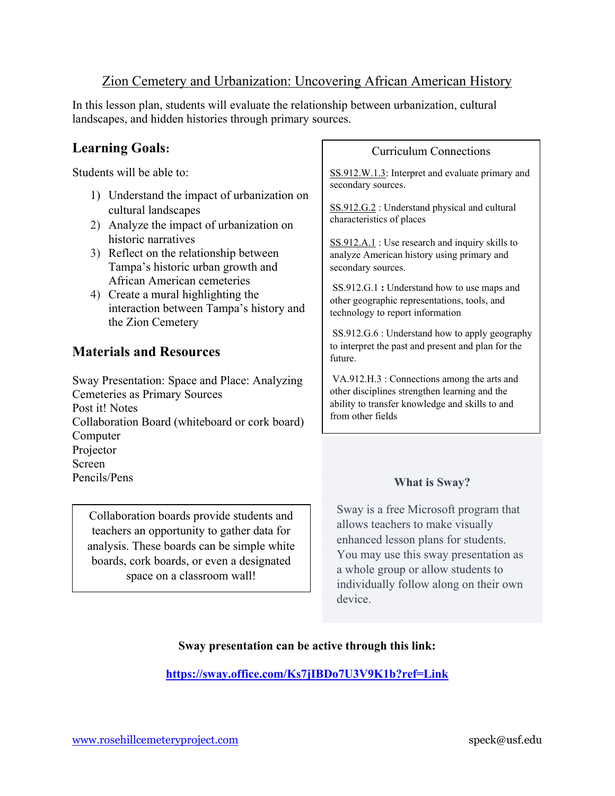## Zion Cemetery and Urbanization: Uncovering African American History

In this lesson plan, students will evaluate the relationship between urbanization, cultural landscapes, and hidden histories through primary sources.

# **Learning Goals:**

Students will be able to:

- 1) Understand the impact of urbanization on cultural landscapes
- 2) Analyze the impact of urbanization on historic narratives
- 3) Reflect on the relationship between Tampa's historic urban growth and African American cemeteries
- 4) Create a mural highlighting the interaction between Tampa's history and the Zion Cemetery

## **Materials and Resources**

Sway Presentation: Space and Place: Analyzing Cemeteries as Primary Sources Post it! Notes Collaboration Board (whiteboard or cork board) Computer Projector Screen Pencils/Pens

Collaboration boards provide students and teachers an opportunity to gather data for analysis. These boards can be simple white boards, cork boards, or even a designated space on a classroom wall!

#### Curriculum Connections

SS.912.W.1.3: Interpret and evaluate primary and secondary sources.

SS.912.G.2 : Understand physical and cultural characteristics of places

SS.912.A.1 : Use research and inquiry skills to analyze American history using primary and secondary sources.

SS.912.G.1 **:** Understand how to use maps and other geographic representations, tools, and technology to report information

SS.912.G.6 : Understand how to apply geography to interpret the past and present and plan for the future.

VA.912.H.3 : Connections among the arts and other disciplines strengthen learning and the ability to transfer knowledge and skills to and from other fields

### **What is Sway?**

Sway is a free Microsoft program that allows teachers to make visually enhanced lesson plans for students. You may use this sway presentation as a whole group or allow students to individually follow along on their own device.

### **Sway presentation can be active through this link:**

**https://sway.office.com/Ks7jIBDo7U3V9K1b?ref=Link**